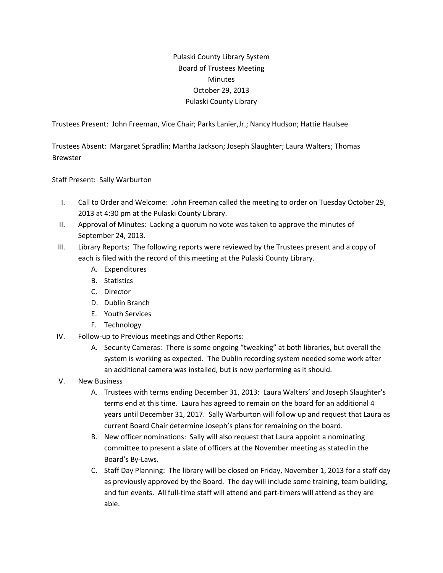## Pulaski County Library System Board of Trustees Meeting **Minutes** October 29, 2013 Pulaski County Library

Trustees Present: John Freeman, Vice Chair; Parks Lanier,Jr.; Nancy Hudson; Hattie Haulsee

Trustees Absent: Margaret Spradlin; Martha Jackson; Joseph Slaughter; Laura Walters; Thomas Brewster

Staff Present: Sally Warburton

- I. Call to Order and Welcome: John Freeman called the meeting to order on Tuesday October 29, 2013 at 4:30 pm at the Pulaski County Library.
- II. Approval of Minutes: Lacking a quorum no vote was taken to approve the minutes of September 24, 2013.
- III. Library Reports: The following reports were reviewed by the Trustees present and a copy of each is filed with the record of this meeting at the Pulaski County Library.
	- A. Expenditures
	- B. Statistics
	- C. Director
	- D. Dublin Branch
	- E. Youth Services
	- F. Technology
- IV. Follow-up to Previous meetings and Other Reports:
	- A. Security Cameras: There is some ongoing "tweaking" at both libraries, but overall the system is working as expected. The Dublin recording system needed some work after an additional camera was installed, but is now performing as it should.
- V. New Business
	- A. Trustees with terms ending December 31, 2013: Laura Walters' and Joseph Slaughter's terms end at this time. Laura has agreed to remain on the board for an additional 4 years until December 31, 2017. Sally Warburton will follow up and request that Laura as current Board Chair determine Joseph's plans for remaining on the board.
	- B. New officer nominations: Sally will also request that Laura appoint a nominating committee to present a slate of officers at the November meeting as stated in the Board's By-Laws.
	- C. Staff Day Planning: The library will be closed on Friday, November 1, 2013 for a staff day as previously approved by the Board. The day will include some training, team building, and fun events. All full-time staff will attend and part-timers will attend as they are able.